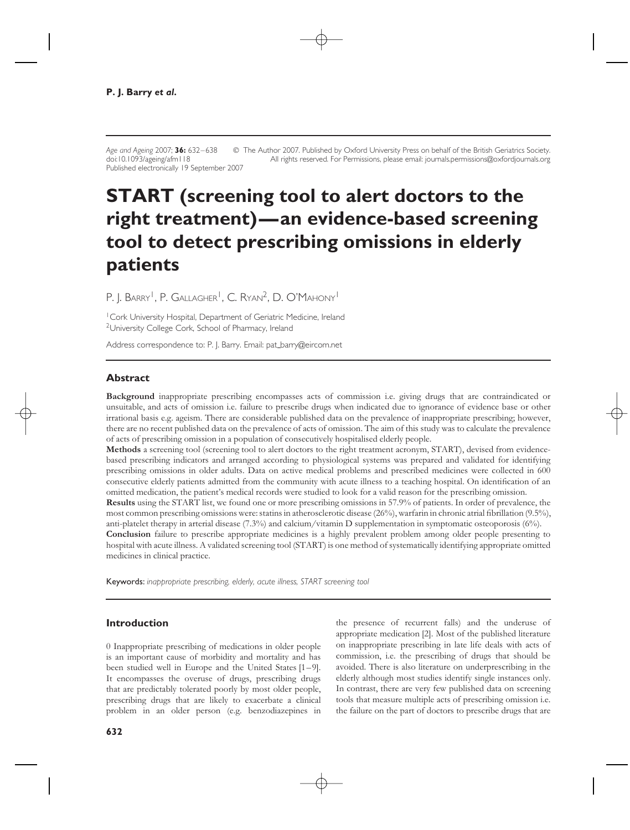*Age and Ageing* 2007; **36:** 632–638 The Author 2007. Published by Oxford University Press on behalf of the British Geriatrics Society. doi:10.1093/ageing/afm118 All rights reserved. For Permissions, please email: journals.permissions@oxfordjournals.org Published electronically 19 September 2007

# **START (screening tool to alert doctors to the right treatment)—an evidence-based screening tool to detect prescribing omissions in elderly patients**

P. I. BARRY<sup>1</sup>, P. GALLAGHER<sup>1</sup>, C. RYAN<sup>2</sup>, D. O'MAHONY<sup>1</sup>

<sup>1</sup> Cork University Hospital, Department of Geriatric Medicine, Ireland <sup>2</sup>University College Cork, School of Pharmacy, Ireland

Address correspondence to: P. J. Barry. Email: pat\_barry@eircom.net

## **Abstract**

**Background** inappropriate prescribing encompasses acts of commission i.e. giving drugs that are contraindicated or unsuitable, and acts of omission i.e. failure to prescribe drugs when indicated due to ignorance of evidence base or other irrational basis e.g. ageism. There are considerable published data on the prevalence of inappropriate prescribing; however, there are no recent published data on the prevalence of acts of omission. The aim of this study was to calculate the prevalence of acts of prescribing omission in a population of consecutively hospitalised elderly people.

**Methods** a screening tool (screening tool to alert doctors to the right treatment acronym, START), devised from evidencebased prescribing indicators and arranged according to physiological systems was prepared and validated for identifying prescribing omissions in older adults. Data on active medical problems and prescribed medicines were collected in 600 consecutive elderly patients admitted from the community with acute illness to a teaching hospital. On identification of an omitted medication, the patient's medical records were studied to look for a valid reason for the prescribing omission.

**Results** using the START list, we found one or more prescribing omissions in 57.9% of patients. In order of prevalence, the most common prescribing omissions were: statins in atherosclerotic disease (26%), warfarin in chronic atrial fibrillation (9.5%), anti-platelet therapy in arterial disease  $(7.3\%)$  and calcium/vitamin D supplementation in symptomatic osteoporosis  $(6\%)$ .

**Conclusion** failure to prescribe appropriate medicines is a highly prevalent problem among older people presenting to hospital with acute illness. A validated screening tool (START) is one method of systematically identifying appropriate omitted medicines in clinical practice.

Keywords: *inappropriate prescribing, elderly, acute illness, START screening tool*

#### **Introduction**

0 Inappropriate prescribing of medications in older people is an important cause of morbidity and mortality and has been studied well in Europe and the United States [1–9]. It encompasses the overuse of drugs, prescribing drugs that are predictably tolerated poorly by most older people, prescribing drugs that are likely to exacerbate a clinical problem in an older person (e.g. benzodiazepines in the presence of recurrent falls) and the underuse of appropriate medication [2]. Most of the published literature on inappropriate prescribing in late life deals with acts of commission, i.e. the prescribing of drugs that should be avoided. There is also literature on underprescribing in the elderly although most studies identify single instances only. In contrast, there are very few published data on screening tools that measure multiple acts of prescribing omission i.e. the failure on the part of doctors to prescribe drugs that are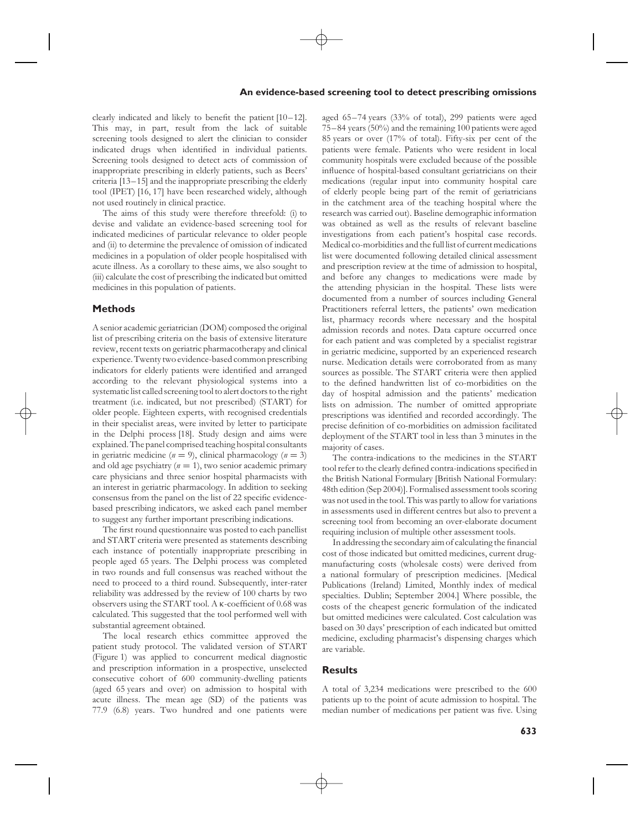clearly indicated and likely to benefit the patient [10–12]. This may, in part, result from the lack of suitable screening tools designed to alert the clinician to consider indicated drugs when identified in individual patients. Screening tools designed to detect acts of commission of inappropriate prescribing in elderly patients, such as Beers' criteria [13–15] and the inappropriate prescribing the elderly tool (IPET) [16, 17] have been researched widely, although not used routinely in clinical practice.

The aims of this study were therefore threefold: (i) to devise and validate an evidence-based screening tool for indicated medicines of particular relevance to older people and (ii) to determine the prevalence of omission of indicated medicines in a population of older people hospitalised with acute illness. As a corollary to these aims, we also sought to (iii) calculate the cost of prescribing the indicated but omitted medicines in this population of patients.

#### **Methods**

A senior academic geriatrician (DOM) composed the original list of prescribing criteria on the basis of extensive literature review, recent texts on geriatric pharmacotherapy and clinical experience. Twenty two evidence-based common prescribing indicators for elderly patients were identified and arranged according to the relevant physiological systems into a systematic list called screening tool to alert doctors to the right treatment (i.e. indicated, but not prescribed) (START) for older people. Eighteen experts, with recognised credentials in their specialist areas, were invited by letter to participate in the Delphi process [18]. Study design and aims were explained. The panel comprised teaching hospital consultants in geriatric medicine ( $n = 9$ ), clinical pharmacology ( $n = 3$ ) and old age psychiatry  $(n = 1)$ , two senior academic primary care physicians and three senior hospital pharmacists with an interest in geriatric pharmacology. In addition to seeking consensus from the panel on the list of 22 specific evidencebased prescribing indicators, we asked each panel member to suggest any further important prescribing indications.

The first round questionnaire was posted to each panellist and START criteria were presented as statements describing each instance of potentially inappropriate prescribing in people aged 65 years. The Delphi process was completed in two rounds and full consensus was reached without the need to proceed to a third round. Subsequently, inter-rater reliability was addressed by the review of 100 charts by two observers using the START tool. A κ-coefficient of 0.68 was calculated. This suggested that the tool performed well with substantial agreement obtained.

The local research ethics committee approved the patient study protocol. The validated version of START (Figure 1) was applied to concurrent medical diagnostic and prescription information in a prospective, unselected consecutive cohort of 600 community-dwelling patients (aged 65 years and over) on admission to hospital with acute illness. The mean age (SD) of the patients was 77.9 (6.8) years. Two hundred and one patients were aged 65–74 years (33% of total), 299 patients were aged 75–84 years (50%) and the remaining 100 patients were aged 85 years or over (17% of total). Fifty-six per cent of the patients were female. Patients who were resident in local community hospitals were excluded because of the possible influence of hospital-based consultant geriatricians on their medications (regular input into community hospital care of elderly people being part of the remit of geriatricians in the catchment area of the teaching hospital where the research was carried out). Baseline demographic information was obtained as well as the results of relevant baseline investigations from each patient's hospital case records. Medical co-morbidities and the full list of current medications list were documented following detailed clinical assessment and prescription review at the time of admission to hospital, and before any changes to medications were made by the attending physician in the hospital. These lists were documented from a number of sources including General Practitioners referral letters, the patients' own medication list, pharmacy records where necessary and the hospital admission records and notes. Data capture occurred once for each patient and was completed by a specialist registrar in geriatric medicine, supported by an experienced research nurse. Medication details were corroborated from as many sources as possible. The START criteria were then applied to the defined handwritten list of co-morbidities on the day of hospital admission and the patients' medication lists on admission. The number of omitted appropriate prescriptions was identified and recorded accordingly. The precise definition of co-morbidities on admission facilitated deployment of the START tool in less than 3 minutes in the majority of cases.

The contra-indications to the medicines in the START tool refer to the clearly defined contra-indications specified in the British National Formulary [British National Formulary: 48th edition (Sep 2004)]. Formalised assessment tools scoring was not used in the tool. This was partly to allow for variations in assessments used in different centres but also to prevent a screening tool from becoming an over-elaborate document requiring inclusion of multiple other assessment tools.

In addressing the secondary aim of calculating the financial cost of those indicated but omitted medicines, current drugmanufacturing costs (wholesale costs) were derived from a national formulary of prescription medicines. [Medical Publications (Ireland) Limited, Monthly index of medical specialties. Dublin; September 2004.] Where possible, the costs of the cheapest generic formulation of the indicated but omitted medicines were calculated. Cost calculation was based on 30 days' prescription of each indicated but omitted medicine, excluding pharmacist's dispensing charges which are variable.

#### **Results**

A total of 3,234 medications were prescribed to the 600 patients up to the point of acute admission to hospital. The median number of medications per patient was five. Using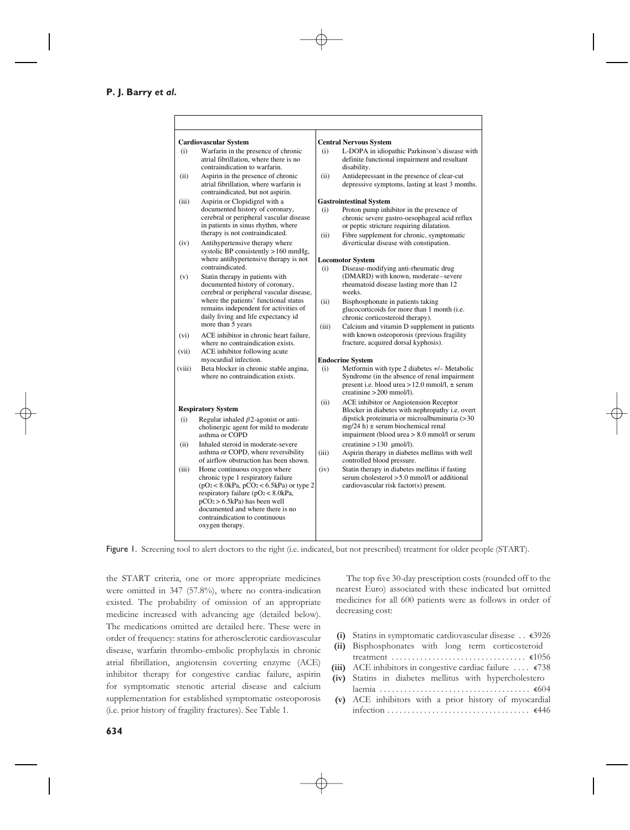$\mathsf I$ 

|                                                                                                                                                                                                                                                                                       |                                                                                                                                                                                                                                     | <b>Central Nervous System</b>                                                                                                                                                                                         |  |  |  |
|---------------------------------------------------------------------------------------------------------------------------------------------------------------------------------------------------------------------------------------------------------------------------------------|-------------------------------------------------------------------------------------------------------------------------------------------------------------------------------------------------------------------------------------|-----------------------------------------------------------------------------------------------------------------------------------------------------------------------------------------------------------------------|--|--|--|
| Warfarin in the presence of chronic<br>atrial fibrillation, where there is no<br>contraindication to warfarin.                                                                                                                                                                        | (i)                                                                                                                                                                                                                                 | L-DOPA in idiopathic Parkinson's disease with<br>definite functional impairment and resultant<br>disability.                                                                                                          |  |  |  |
| Aspirin in the presence of chronic<br>atrial fibrillation, where warfarin is<br>contraindicated, but not aspirin.                                                                                                                                                                     | (ii)                                                                                                                                                                                                                                | Antidepressant in the presence of clear-cut<br>depressive symptoms, lasting at least 3 months.                                                                                                                        |  |  |  |
| Aspirin or Clopidigrel with a                                                                                                                                                                                                                                                         |                                                                                                                                                                                                                                     | <b>Gastrointestinal System</b><br>Proton pump inhibitor in the presence of<br>chronic severe gastro-oesophageal acid reflux<br>or peptic stricture requiring dilatation.<br>Fibre supplement for chronic, symptomatic |  |  |  |
| documented history of coronary,<br>cerebral or peripheral vascular disease<br>in patients in sinus rhythm, where<br>therapy is not contraindicated.                                                                                                                                   | (i)<br>(ii)                                                                                                                                                                                                                         |                                                                                                                                                                                                                       |  |  |  |
| Antihypertensive therapy where<br>systolic BP consistently $>160$ mmHg,                                                                                                                                                                                                               |                                                                                                                                                                                                                                     | diverticular disease with constipation.                                                                                                                                                                               |  |  |  |
| contraindicated.                                                                                                                                                                                                                                                                      |                                                                                                                                                                                                                                     | Disease-modifying anti-rheumatic drug                                                                                                                                                                                 |  |  |  |
| Statin therapy in patients with<br>documented history of coronary,<br>cerebral or peripheral vascular disease,                                                                                                                                                                        |                                                                                                                                                                                                                                     | (DMARD) with known, moderate-severe<br>rheumatoid disease lasting more than 12<br>weeks.                                                                                                                              |  |  |  |
| remains independent for activities of<br>daily living and life expectancy id                                                                                                                                                                                                          | (ii)                                                                                                                                                                                                                                | Bisphosphonate in patients taking<br>glucocorticoids for more than 1 month (i.e.<br>chronic corticosteroid therapy).                                                                                                  |  |  |  |
| ACE inhibitor in chronic heart failure,<br>where no contraindication exists.                                                                                                                                                                                                          |                                                                                                                                                                                                                                     | Calcium and vitamin D supplement in patients<br>with known osteoporosis (previous fragility<br>fracture, acquired dorsal kyphosis).                                                                                   |  |  |  |
| ACE inhibitor following acute                                                                                                                                                                                                                                                         |                                                                                                                                                                                                                                     |                                                                                                                                                                                                                       |  |  |  |
|                                                                                                                                                                                                                                                                                       |                                                                                                                                                                                                                                     | Metformin with type 2 diabetes $+/-$ Metabolic                                                                                                                                                                        |  |  |  |
| where no contraindication exists.                                                                                                                                                                                                                                                     |                                                                                                                                                                                                                                     | Syndrome (in the absence of renal impairment<br>present i.e. blood urea $> 12.0$ mmol/l, $\pm$ serum<br>creatinine $>200$ mmol/l).                                                                                    |  |  |  |
|                                                                                                                                                                                                                                                                                       |                                                                                                                                                                                                                                     | ACE inhibitor or Angiotension Receptor                                                                                                                                                                                |  |  |  |
| Regular inhaled $\beta$ 2-agonist or anti-<br>cholinergic agent for mild to moderate<br>asthma or COPD                                                                                                                                                                                |                                                                                                                                                                                                                                     | Blocker in diabetes with nephropathy <i>i.e.</i> overt<br>dipstick proteinuria or microalbuminuria $(>30$<br>$mg/24 h) \pm$ serum biochemical renal<br>impairment (blood urea > 8.0 mmol/l or serum                   |  |  |  |
| Inhaled steroid in moderate-severe<br>asthma or COPD, where reversibility<br>of airflow obstruction has been shown.                                                                                                                                                                   | (iii)                                                                                                                                                                                                                               | creatinine $>130$ µmol/l).<br>Aspirin therapy in diabetes mellitus with well<br>controlled blood pressure.                                                                                                            |  |  |  |
| Home continuous oxygen where<br>chronic type 1 respiratory failure<br>$(pO2 < 8.0kPa, pCO2 < 6.5kPa)$ or type 2<br>respiratory failure ( $pO2 < 8.0$ kPa,<br>$pCO2 > 6.5kPa$ ) has been well<br>documented and where there is no<br>contraindication to continuous<br>oxygen therapy. | (iv)                                                                                                                                                                                                                                | Statin therapy in diabetes mellitus if fasting<br>serum cholesterol $> 5.0$ mmol/l or additional<br>cardiovascular risk factor(s) present.                                                                            |  |  |  |
|                                                                                                                                                                                                                                                                                       | <b>Cardiovascular System</b><br>where antihypertensive therapy is not<br>where the patients' functional status<br>more than 5 years<br>myocardial infection.<br>Beta blocker in chronic stable angina,<br><b>Respiratory System</b> | <b>Locomotor System</b><br>(i)<br>(iii)<br><b>Endocrine System</b><br>(i)<br>(ii)                                                                                                                                     |  |  |  |

Figure 1. Screening tool to alert doctors to the right (i.e. indicated, but not prescribed) treatment for older people (START).

the START criteria, one or more appropriate medicines were omitted in 347 (57.8%), where no contra-indication existed. The probability of omission of an appropriate medicine increased with advancing age (detailed below). The medications omitted are detailed here. These were in order of frequency: statins for atherosclerotic cardiovascular disease, warfarin thrombo-embolic prophylaxis in chronic atrial fibrillation, angiotensin coverting enzyme (ACE) inhibitor therapy for congestive cardiac failure, aspirin for symptomatic stenotic arterial disease and calcium supplementation for established symptomatic osteoporosis (i.e. prior history of fragility fractures). See Table 1.

The top five 30-day prescription costs (rounded off to the nearest Euro) associated with these indicated but omitted medicines for all 600 patients were as follows in order of decreasing cost:

| (i) Statins in symptomatic cardiovascular disease $\ldots$ $\epsilon$ 3926 |
|----------------------------------------------------------------------------|
|----------------------------------------------------------------------------|

| (ii) Bisphosphonates with long term corticosteroid                        |
|---------------------------------------------------------------------------|
|                                                                           |
| (iii) ACE inhibitors in congestive cardiac failure $\dots$ $\epsilon$ 738 |
| (iv) Statins in diabetes mellitus with hypercholestero                    |
|                                                                           |
| (v) ACE inhibitors with a prior history of myocardial                     |
|                                                                           |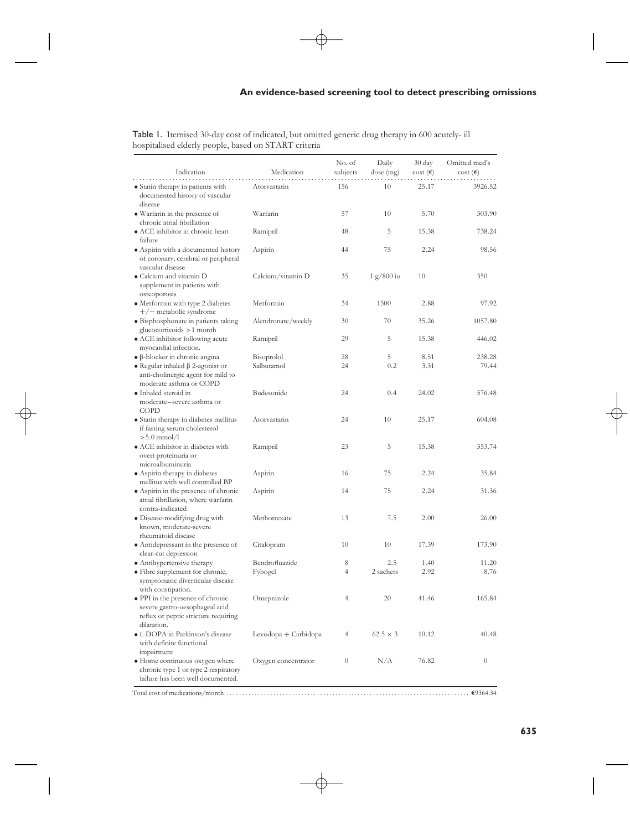Table 1. Itemised 30-day cost of indicated, but omitted generic drug therapy in 600 acutely- ill hospitalised elderly people, based on START criteria

| Indication                                                                                                                | Medication           | No. of<br>subjects | Daily<br>dose (mg) | $30 \text{ day}$<br>$\cos t(\epsilon)$ | Omitted med's<br>$cost(\epsilon)$ |
|---------------------------------------------------------------------------------------------------------------------------|----------------------|--------------------|--------------------|----------------------------------------|-----------------------------------|
| • Statin therapy in patients with<br>documented history of vascular<br>disease                                            | Atorvastatin         | 156                | 10                 | 25.17                                  | 3926.52                           |
| • Warfarin in the presence of<br>chronic atrial fibrillation                                                              | Warfarin             | 57                 | 10                 | 5.70                                   | 303.90                            |
| • ACE inhibitor in chronic heart<br>failure                                                                               | Ramipril             | 48                 | 5                  | 15.38                                  | 738.24                            |
| • Aspirin with a documented history<br>of coronary, cerebral or peripheral<br>vascular disease                            | Aspirin              | 44                 | 75                 | 2.24                                   | 98.56                             |
| • Calcium and vitamin D<br>supplement in patients with<br>osteoporosis                                                    | Calcium/vitamin D    | 35                 | 1 g/800 iu         | 10                                     | 350                               |
| · Metformin with type 2 diabetes<br>$+/-$ metabolic syndrome                                                              | Metformin            | 34                 | 1500               | 2.88                                   | 97.92                             |
| · Bisphosphonate in patients taking<br>glucocorticoids >1 month                                                           | Alendronate/weekly   | 30                 | 70                 | 35.26                                  | 1057.80                           |
| • ACE inhibitor following acute<br>myocardial infection.                                                                  | Ramipril             | 29                 | 5                  | 15.38                                  | 446.02                            |
| $\bullet$ $\beta$ -blocker in chronic angina                                                                              | Bisoprolol           | 28                 | 5                  | 8.51                                   | 238.28                            |
| • Regular inhaled $\beta$ 2-agonist or                                                                                    | Salbutamol           | 24                 | 0.2                | 3.31                                   | 79.44                             |
| anti-cholinergic agent for mild to<br>moderate asthma or COPD                                                             |                      |                    |                    |                                        |                                   |
| • Inhaled steroid in                                                                                                      | Budesonide           | 24                 | 0.4                | 24.02                                  | 576.48                            |
| moderate-severe asthma or<br><b>COPD</b>                                                                                  |                      |                    |                    |                                        |                                   |
| • Statin therapy in diabetes mellitus<br>if fasting serum cholesterol<br>$> 5.0$ mmol/l                                   | Atorvastatin         | 24                 | 10                 | 25.17                                  | 604.08                            |
| • ACE inhibitor in diabetes with<br>overt proteinuria or<br>microalbuminuria                                              | Ramipril             | 23                 | 5                  | 15.38                                  | 353.74                            |
| • Aspirin therapy in diabetes<br>mellitus with well controlled BP                                                         | Aspirin              | 16                 | 75                 | 2.24                                   | 35.84                             |
| • Aspirin in the presence of chronic<br>atrial fibrillation, where warfarin<br>contra-indicated                           | Aspirin              | 14                 | 75                 | 2.24                                   | 31.36                             |
| • Disease-modifying drug with<br>known, moderate-severe<br>rheumatoid disease                                             | Methotrexate         | 13                 | 7.5                | 2.00                                   | 26.00                             |
| • Antidepressant in the presence of<br>clear-cut depression                                                               | Citalopram           | 10                 | 10                 | 17.39                                  | 173.90                            |
| • Antihypertensive therapy                                                                                                | Bendrofluazide       | 8                  | 2.5                | 1.40                                   | 11.20                             |
| • Fibre supplement for chronic,<br>symptomatic diverticular disease<br>with constipation.                                 | Fybogel              | $\overline{4}$     | 2 sachets          | 2.92                                   | 8.76                              |
| • PPI in the presence of chronic<br>severe gastro-oesophageal acid<br>reflux or peptic stricture requiring<br>dilatation. | Omeprazole           | 4                  | 20                 | 41.46                                  | 165.84                            |
| • L-DOPA in Parkinson's disease<br>with definite functional                                                               | Levodopa + Carbidopa | 4                  | $62.5 \times 3$    | 10.12                                  | 40.48                             |
| impairment<br>• Home continuous oxygen where<br>chronic type 1 or type 2 respiratory<br>failure has been well documented. | Oxygen concentrator  | $\theta$           | N/A                | 76.82                                  | $\theta$                          |
|                                                                                                                           |                      |                    |                    |                                        |                                   |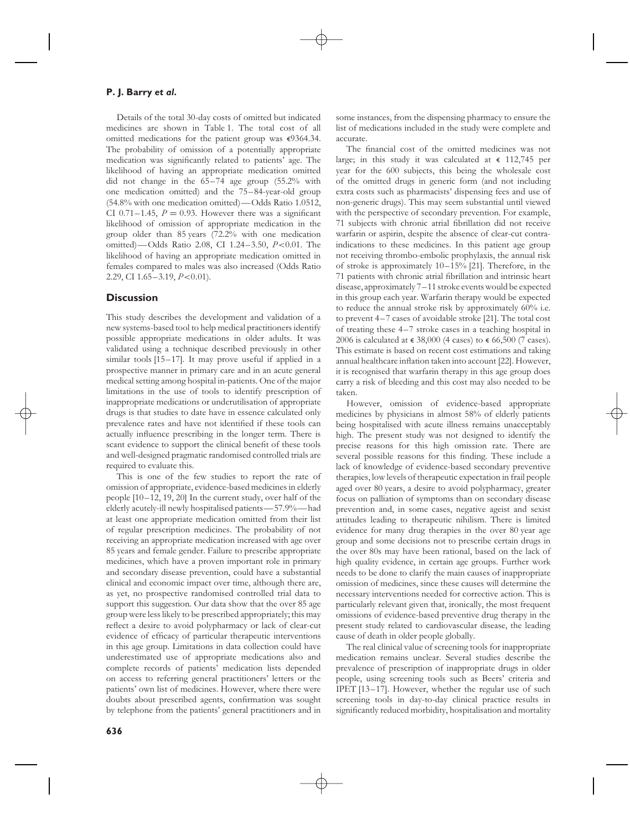#### **P. J. Barry** *et al***.**

Details of the total 30-day costs of omitted but indicated medicines are shown in Table 1. The total cost of all omitted medications for the patient group was  $\epsilon$ 9364.34. The probability of omission of a potentially appropriate medication was significantly related to patients' age. The likelihood of having an appropriate medication omitted did not change in the 65–74 age group (55.2% with one medication omitted) and the 75–84-year-old group (54.8% with one medication omitted)—Odds Ratio 1.0512, CI 0.71–1.45,  $P = 0.93$ . However there was a significant likelihood of omission of appropriate medication in the group older than 85 years (72.2% with one medication omitted)—Odds Ratio 2.08, CI 1.24–3.50, *P<*0.01. The likelihood of having an appropriate medication omitted in females compared to males was also increased (Odds Ratio 2.29, CI 1.65–3.19, *P<*0*.*01).

#### **Discussion**

This study describes the development and validation of a new systems-based tool to help medical practitioners identify possible appropriate medications in older adults. It was validated using a technique described previously in other similar tools [15–17]. It may prove useful if applied in a prospective manner in primary care and in an acute general medical setting among hospital in-patients. One of the major limitations in the use of tools to identify prescription of inappropriate medications or underutilisation of appropriate drugs is that studies to date have in essence calculated only prevalence rates and have not identified if these tools can actually influence prescribing in the longer term. There is scant evidence to support the clinical benefit of these tools and well-designed pragmatic randomised controlled trials are required to evaluate this.

This is one of the few studies to report the rate of omission of appropriate, evidence-based medicines in elderly people [10–12, 19, 20] In the current study, over half of the elderly acutely-ill newly hospitalised patients—57.9%—had at least one appropriate medication omitted from their list of regular prescription medicines. The probability of not receiving an appropriate medication increased with age over 85 years and female gender. Failure to prescribe appropriate medicines, which have a proven important role in primary and secondary disease prevention, could have a substantial clinical and economic impact over time, although there are, as yet, no prospective randomised controlled trial data to support this suggestion. Our data show that the over 85 age group were less likely to be prescribed appropriately; this may reflect a desire to avoid polypharmacy or lack of clear-cut evidence of efficacy of particular therapeutic interventions in this age group. Limitations in data collection could have underestimated use of appropriate medications also and complete records of patients' medication lists depended on access to referring general practitioners' letters or the patients' own list of medicines. However, where there were doubts about prescribed agents, confirmation was sought by telephone from the patients' general practitioners and in

some instances, from the dispensing pharmacy to ensure the list of medications included in the study were complete and accurate.

The financial cost of the omitted medicines was not large; in this study it was calculated at  $\epsilon$  112,745 per year for the 600 subjects, this being the wholesale cost of the omitted drugs in generic form (and not including extra costs such as pharmacists' dispensing fees and use of non-generic drugs). This may seem substantial until viewed with the perspective of secondary prevention. For example, 71 subjects with chronic atrial fibrillation did not receive warfarin or aspirin, despite the absence of clear-cut contraindications to these medicines. In this patient age group not receiving thrombo-embolic prophylaxis, the annual risk of stroke is approximately 10–15% [21]. Therefore, in the 71 patients with chronic atrial fibrillation and intrinsic heart disease, approximately 7–11 stroke events would be expected in this group each year. Warfarin therapy would be expected to reduce the annual stroke risk by approximately 60% i.e. to prevent 4–7 cases of avoidable stroke [21]. The total cost of treating these 4–7 stroke cases in a teaching hospital in 2006 is calculated at  $\epsilon$  38,000 (4 cases) to  $\epsilon$  66,500 (7 cases). This estimate is based on recent cost estimations and taking annual healthcare inflation taken into account [22]. However, it is recognised that warfarin therapy in this age group does carry a risk of bleeding and this cost may also needed to be taken.

However, omission of evidence-based appropriate medicines by physicians in almost 58% of elderly patients being hospitalised with acute illness remains unacceptably high. The present study was not designed to identify the precise reasons for this high omission rate. There are several possible reasons for this finding. These include a lack of knowledge of evidence-based secondary preventive therapies, low levels of therapeutic expectation in frail people aged over 80 years, a desire to avoid polypharmacy, greater focus on palliation of symptoms than on secondary disease prevention and, in some cases, negative ageist and sexist attitudes leading to therapeutic nihilism. There is limited evidence for many drug therapies in the over 80 year age group and some decisions not to prescribe certain drugs in the over 80s may have been rational, based on the lack of high quality evidence, in certain age groups. Further work needs to be done to clarify the main causes of inappropriate omission of medicines, since these causes will determine the necessary interventions needed for corrective action. This is particularly relevant given that, ironically, the most frequent omissions of evidence-based preventive drug therapy in the present study related to cardiovascular disease, the leading cause of death in older people globally.

The real clinical value of screening tools for inappropriate medication remains unclear. Several studies describe the prevalence of prescription of inappropriate drugs in older people, using screening tools such as Beers' criteria and IPET [13–17]. However, whether the regular use of such screening tools in day-to-day clinical practice results in significantly reduced morbidity, hospitalisation and mortality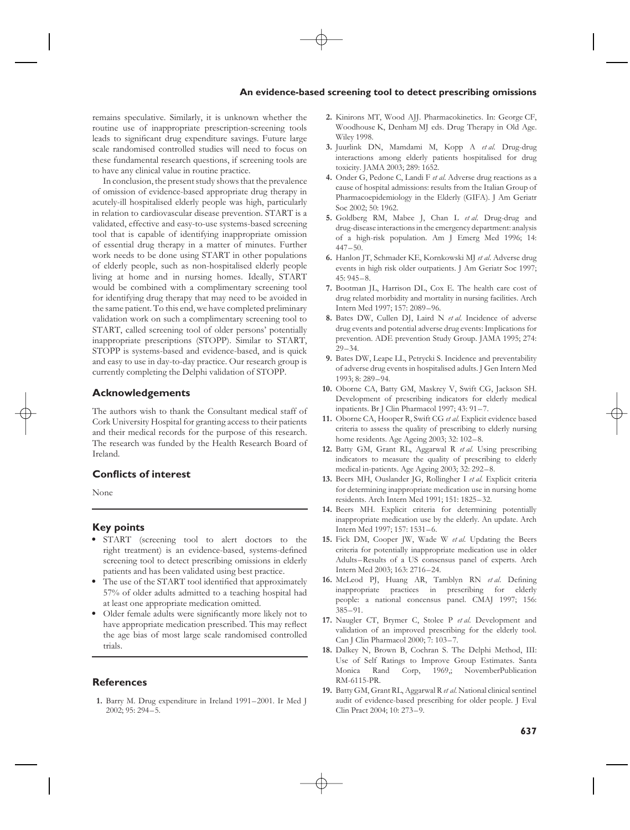remains speculative. Similarly, it is unknown whether the routine use of inappropriate prescription-screening tools leads to significant drug expenditure savings. Future large scale randomised controlled studies will need to focus on these fundamental research questions, if screening tools are to have any clinical value in routine practice.

In conclusion, the present study shows that the prevalence of omission of evidence-based appropriate drug therapy in acutely-ill hospitalised elderly people was high, particularly in relation to cardiovascular disease prevention. START is a validated, effective and easy-to-use systems-based screening tool that is capable of identifying inappropriate omission of essential drug therapy in a matter of minutes. Further work needs to be done using START in other populations of elderly people, such as non-hospitalised elderly people living at home and in nursing homes. Ideally, START would be combined with a complimentary screening tool for identifying drug therapy that may need to be avoided in the same patient. To this end, we have completed preliminary validation work on such a complimentary screening tool to START, called screening tool of older persons' potentially inappropriate prescriptions (STOPP). Similar to START, STOPP is systems-based and evidence-based, and is quick and easy to use in day-to-day practice. Our research group is currently completing the Delphi validation of STOPP.

## **Acknowledgements**

The authors wish to thank the Consultant medical staff of Cork University Hospital for granting access to their patients and their medical records for the purpose of this research. The research was funded by the Health Research Board of Ireland.

## **Conflicts of interest**

None

## **Key points**

- **•** START (screening tool to alert doctors to the right treatment) is an evidence-based, systems-defined screening tool to detect prescribing omissions in elderly patients and has been validated using best practice.
- **•** The use of the START tool identified that approximately 57% of older adults admitted to a teaching hospital had at least one appropriate medication omitted.
- **•** Older female adults were significantly more likely not to have appropriate medication prescribed. This may reflect the age bias of most large scale randomised controlled trials.

## **References**

**1.** Barry M. Drug expenditure in Ireland 1991–2001. Ir Med J 2002; 95: 294–5.

- **2.** Kinirons MT, Wood AJJ. Pharmacokinetics. In: George CF, Woodhouse K, Denham MJ eds. Drug Therapy in Old Age. Wiley 1998.
- **3.** Juurlink DN, Mamdami M, Kopp A *et al*. Drug-drug interactions among elderly patients hospitalised for drug toxicity. JAMA 2003; 289: 1652.
- **4.** Onder G, Pedone C, Landi F *et al*. Adverse drug reactions as a cause of hospital admissions: results from the Italian Group of Pharmacoepidemiology in the Elderly (GIFA). J Am Geriatr Soc 2002; 50: 1962.
- **5.** Goldberg RM, Mabee J, Chan L *et al*. Drug-drug and drug-disease interactions in the emergency department: analysis of a high-risk population. Am J Emerg Med 1996; 14: 447–50.
- **6.** Hanlon JT, Schmader KE, Kornkowski MJ *et al*. Adverse drug events in high risk older outpatients. J Am Geriatr Soc 1997; 45: 945–8.
- **7.** Bootman JL, Harrison DL, Cox E. The health care cost of drug related morbidity and mortality in nursing facilities. Arch Intern Med 1997; 157: 2089–96.
- **8.** Bates DW, Cullen DJ, Laird N *et al*. Incidence of adverse drug events and potential adverse drug events: Implications for prevention. ADE prevention Study Group. JAMA 1995; 274: 29–34.
- **9.** Bates DW, Leape LL, Petrycki S. Incidence and preventability of adverse drug events in hospitalised adults. J Gen Intern Med 1993; 8: 289–94.
- **10.** Oborne CA, Batty GM, Maskrey V, Swift CG, Jackson SH. Development of prescribing indicators for elderly medical inpatients. Br J Clin Pharmacol 1997; 43: 91–7.
- **11.** Oborne CA, Hooper R, Swift CG *et al*. Explicit evidence based criteria to assess the quality of prescribing to elderly nursing home residents. Age Ageing 2003; 32: 102-8.
- **12.** Batty GM, Grant RL, Aggarwal R *et al*. Using prescribing indicators to measure the quality of prescribing to elderly medical in-patients. Age Ageing 2003; 32: 292–8.
- **13.** Beers MH, Ouslander JG, Rollingher I *et al*. Explicit criteria for determining inappropriate medication use in nursing home residents. Arch Intern Med 1991; 151: 1825–32.
- **14.** Beers MH. Explicit criteria for determining potentially inappropriate medication use by the elderly. An update. Arch Intern Med 1997; 157: 1531–6.
- **15.** Fick DM, Cooper JW, Wade W *et al*. Updating the Beers criteria for potentially inappropriate medication use in older Adults–Results of a US consensus panel of experts. Arch Intern Med 2003; 163: 2716–24.
- **16.** McLeod PJ, Huang AR, Tamblyn RN *et al*. Defining inappropriate practices in prescribing for elderly people: a national concensus panel. CMAJ 1997; 156: 385–91.
- **17.** Naugler CT, Brymer C, Stolee P *et al*. Development and validation of an improved prescribing for the elderly tool. Can J Clin Pharmacol 2000; 7: 103–7.
- **18.** Dalkey N, Brown B, Cochran S. The Delphi Method, III: Use of Self Ratings to Improve Group Estimates. Santa Monica Rand Corp, 1969,; NovemberPublication RM-6115-PR.
- **19.** Batty GM, Grant RL, Aggarwal R *et al*. National clinical sentinel audit of evidence-based prescribing for older people. J Eval Clin Pract 2004; 10: 273–9.